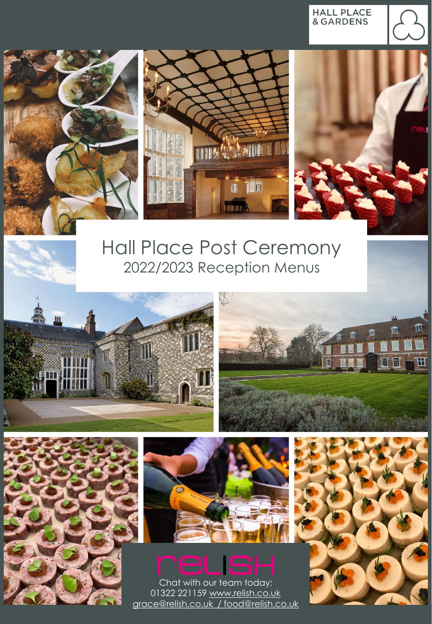**HALL PLACE**<br>& GARDENS







# Hall Place Post Ceremony 2022/2023 Reception Menus









Chat with our team today: 01322 221159 [www.relish.co.uk](mailto:grace@relish.co.uk) grace@relish.co.uk [/ food@relish.co.uk](mailto:grace@relish.co.uk)

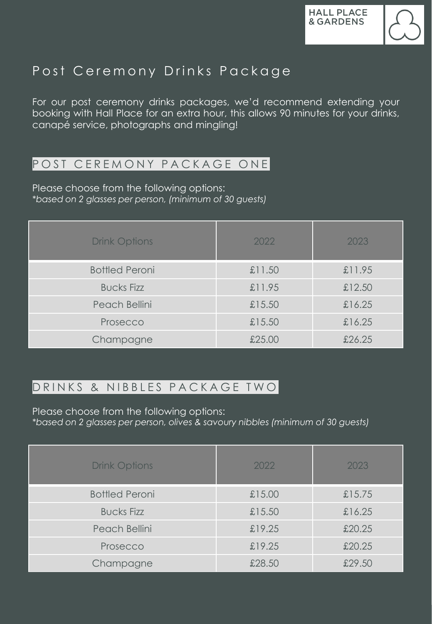

# Post Ceremony Drinks Package

For our post ceremony drinks packages, we'd recommend extending your booking with Hall Place for an extra hour, this allows 90 minutes for your drinks, canapé service, photographs and mingling!

#### POST CEREMONY PACKAGE ONE

Please choose from the following options: *\*based on 2 glasses per person, (minimum of 30 guests)*

| <b>Drink Options</b>  | 2022   | 2023   |
|-----------------------|--------|--------|
| <b>Bottled Peroni</b> | £11.50 | £11.95 |
| <b>Bucks Fizz</b>     | £11.95 | £12.50 |
| Peach Bellini         | £15.50 | £16.25 |
| Prosecco              | £15.50 | £16.25 |
| Champagne             | £25.00 | £26.25 |

#### DRINKS & NIBBLES PACKAGE TWO

Please choose from the following options:

*\*based on 2 glasses per person, olives & savoury nibbles (minimum of 30 guests)*

| <b>Drink Options</b>  | 2022   | 2023   |
|-----------------------|--------|--------|
| <b>Bottled Peroni</b> | £15.00 | £15.75 |
| <b>Bucks Fizz</b>     | £15.50 | £16.25 |
| Peach Bellini         | £19.25 | £20.25 |
| Prosecco              | £19.25 | £20.25 |
| Champagne             | £28.50 | £29.50 |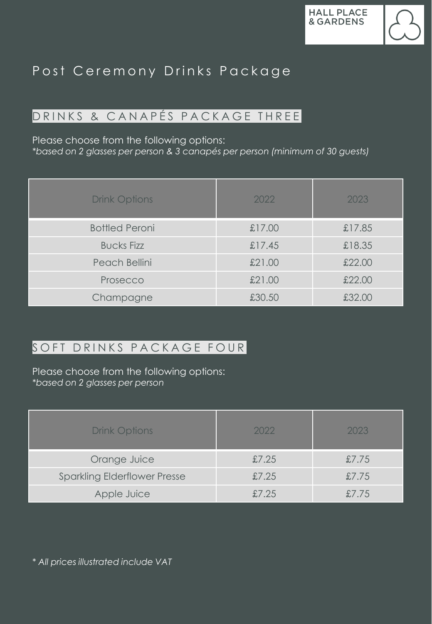# Post Ceremony Drinks Package

### DRINKS & CANAPÉS PACKAGE THREE

Please choose from the following options:

*\*based on 2 glasses per person & 3 canapés per person (minimum of 30 guests)*

| <b>Drink Options</b>  | 2022   | 2023   |
|-----------------------|--------|--------|
| <b>Bottled Peroni</b> | £17.00 | £17.85 |
| <b>Bucks Fizz</b>     | £17.45 | £18.35 |
| Peach Bellini         | £21.00 | £22.00 |
| Prosecco              | £21.00 | £22.00 |
| Champagne             | £30.50 | £32.00 |

### SOFT DRINKS PACKAGE FOUR

Please choose from the following options: *\*based on 2 glasses per person*

| <b>Drink Options</b>                | 2022  | 2023  |
|-------------------------------------|-------|-------|
| Orange Juice                        | £7.25 | £7.75 |
| <b>Sparkling Elderflower Presse</b> | £7.25 | £7.75 |
| Apple Juice                         | £7.25 | £7.75 |

*\* All prices illustrated include VAT*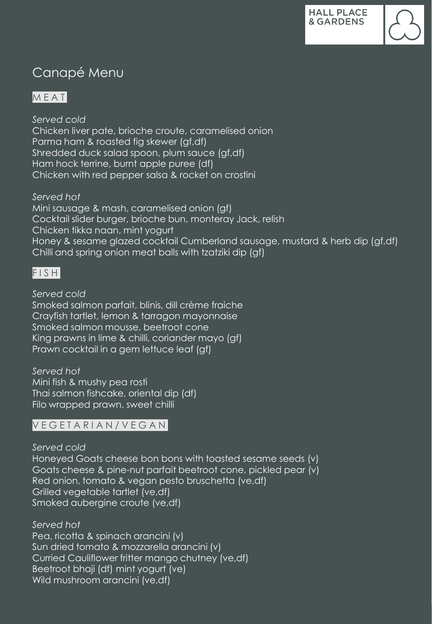## Canapé Menu

### M E A T

*Served cold* Chicken liver pate, brioche croute, caramelised onion Parma ham & roasted fig skewer (gf,df) Shredded duck salad spoon, plum sauce (gf,df) Ham hock terrine, burnt apple puree (df) Chicken with red pepper salsa & rocket on crostini

*Served hot*  Mini sausage & mash, caramelised onion (gf) Cocktail slider burger, brioche bun, monteray Jack, relish Chicken tikka naan, mint yogurt Honey & sesame glazed cocktail Cumberland sausage, mustard & herb dip (gf,df) Chilli and spring onion meat balls with tzatziki dip (gf)

#### $FI$  S H

*Served cold* Smoked salmon parfait, blinis, dill crème fraiche Crayfish tartlet, lemon & tarragon mayonnaise Smoked salmon mousse, beetroot cone King prawns in lime & chilli, coriander mayo (gf) Prawn cocktail in a gem lettuce leaf (gf)

*Served hot*  Mini fish & mushy pea rosti Thai salmon fishcake, oriental dip (df) Filo wrapped prawn, sweet chilli

#### V E G E T A R I A N / V E G A N

*Served cold* Honeyed Goats cheese bon bons with toasted sesame seeds (v) Goats cheese & pine-nut parfait beetroot cone, pickled pear (v) Red onion, tomato & vegan pesto bruschetta (ve,df) Grilled vegetable tartlet (ve,df) Smoked aubergine croute (ve,df)

*Served hot*  Pea, ricotta & spinach arancini (v) Sun dried tomato & mozzarella arancini (v) Curried Cauliflower fritter mango chutney (ve,df) Beetroot bhaji (df) mint yogurt (ve) Wild mushroom arancini (ve,df)